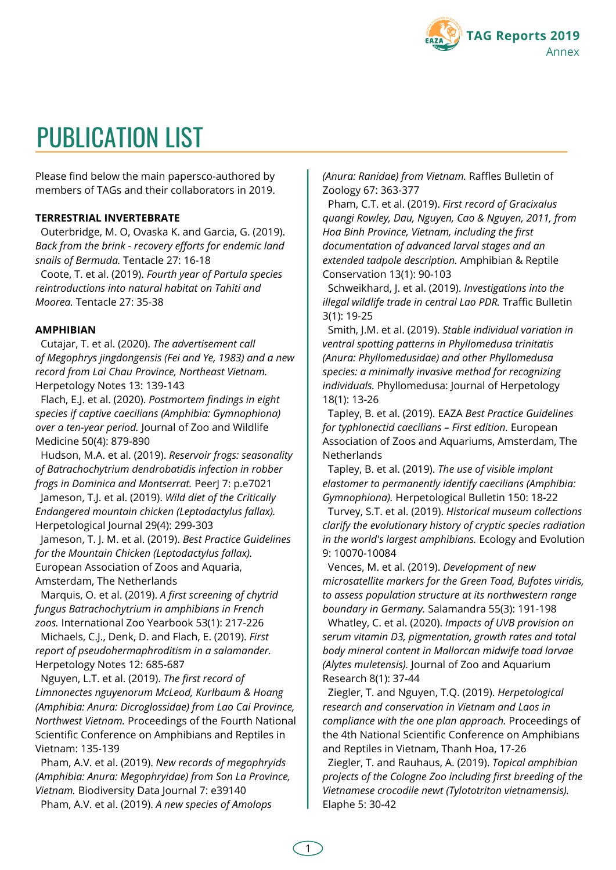

# PUBLICATION LIST

Please find below the main papersco-authored by members of TAGs and their collaborators in 2019.

#### **TERRESTRIAL INVERTEBRATE**

Outerbridge, M. O, Ovaska K. and Garcia, G. (2019). *Back from the brink - recovery efforts for endemic land snails of Bermuda.* Tentacle 27: 16-18

Coote, T. et al. (2019). *Fourth year of Partula species reintroductions into natural habitat on Tahiti and Moorea.* Tentacle 27: 35-38

#### **AMPHIBIAN**

Cutajar, T. et al. (2020). *The advertisement call of Megophrys jingdongensis (Fei and Ye, 1983) and a new record from Lai Chau Province, Northeast Vietnam.* Herpetology Notes 13: 139-143

Flach, E.J. et al. (2020). *Postmortem findings in eight species if captive caecilians (Amphibia: Gymnophiona) over a ten-year period.* Journal of Zoo and Wildlife Medicine 50(4): 879-890

Hudson, M.A. et al. (2019). *Reservoir frogs: seasonality of Batrachochytrium dendrobatidis infection in robber frogs in Dominica and Montserrat.* PeerJ 7: p.e7021 Jameson, T.J. et al. (2019). *Wild diet of the Critically*

*Endangered mountain chicken (Leptodactylus fallax).* Herpetological Journal 29(4): 299-303

Jameson, T. J. M. et al. (2019). *Best Practice Guidelines for the Mountain Chicken (Leptodactylus fallax).* European Association of Zoos and Aquaria, Amsterdam, The Netherlands

Marquis, O. et al. (2019). *A first screening of chytrid fungus Batrachochytrium in amphibians in French zoos.* International Zoo Yearbook 53(1): 217-226

Michaels, C.J., Denk, D. and Flach, E. (2019). *First report of pseudohermaphroditism in a salamander.* Herpetology Notes 12: 685-687

Nguyen, L.T. et al. (2019). *The first record of Limnonectes nguyenorum McLeod, Kurlbaum & Hoang (Amphibia: Anura: Dicroglossidae) from Lao Cai Province, Northwest Vietnam.* Proceedings of the Fourth National Scientific Conference on Amphibians and Reptiles in Vietnam: 135-139

Pham, A.V. et al. (2019). *New records of megophryids (Amphibia: Anura: Megophryidae) from Son La Province, Vietnam.* Biodiversity Data Journal 7: e39140 Pham, A.V. et al. (2019). *A new species of Amolops*

*(Anura: Ranidae) from Vietnam.* Raffles Bulletin of Zoology 67: 363-377

Pham, C.T. et al. (2019). *First record of Gracixalus quangi Rowley, Dau, Nguyen, Cao & Nguyen, 2011, from Hoa Binh Province, Vietnam, including the first documentation of advanced larval stages and an extended tadpole description.* Amphibian & Reptile Conservation 13(1): 90-103

Schweikhard, J. et al. (2019). *Investigations into the illegal wildlife trade in central Lao PDR.* Traffic Bulletin 3(1): 19-25

Smith, J.M. et al. (2019). *Stable individual variation in ventral spotting patterns in Phyllomedusa trinitatis (Anura: Phyllomedusidae) and other Phyllomedusa species: a minimally invasive method for recognizing individuals.* Phyllomedusa: Journal of Herpetology 18(1): 13-26

Tapley, B. et al. (2019). EAZA *Best Practice Guidelines for typhlonectid caecilians – First edition.* European Association of Zoos and Aquariums, Amsterdam, The **Netherlands** 

Tapley, B. et al. (2019). *The use of visible implant elastomer to permanently identify caecilians (Amphibia: Gymnophiona).* Herpetological Bulletin 150: 18-22

Turvey, S.T. et al. (2019). *Historical museum collections clarify the evolutionary history of cryptic species radiation in the world's largest amphibians.* Ecology and Evolution 9: 10070-10084

Vences, M. et al. (2019). *Development of new microsatellite markers for the Green Toad, Bufotes viridis, to assess population structure at its northwestern range boundary in Germany.* Salamandra 55(3): 191-198

Whatley, C. et al. (2020). *Impacts of UVB provision on serum vitamin D3, pigmentation, growth rates and total body mineral content in Mallorcan midwife toad larvae (Alytes muletensis).* Journal of Zoo and Aquarium Research 8(1): 37-44

Ziegler, T. and Nguyen, T.Q. (2019). *Herpetological research and conservation in Vietnam and Laos in compliance with the one plan approach.* Proceedings of the 4th National Scientific Conference on Amphibians and Reptiles in Vietnam, Thanh Hoa, 17-26

Ziegler, T. and Rauhaus, A. (2019). *Topical amphibian projects of the Cologne Zoo including first breeding of the Vietnamese crocodile newt (Tylototriton vietnamensis).* Elaphe 5: 30-42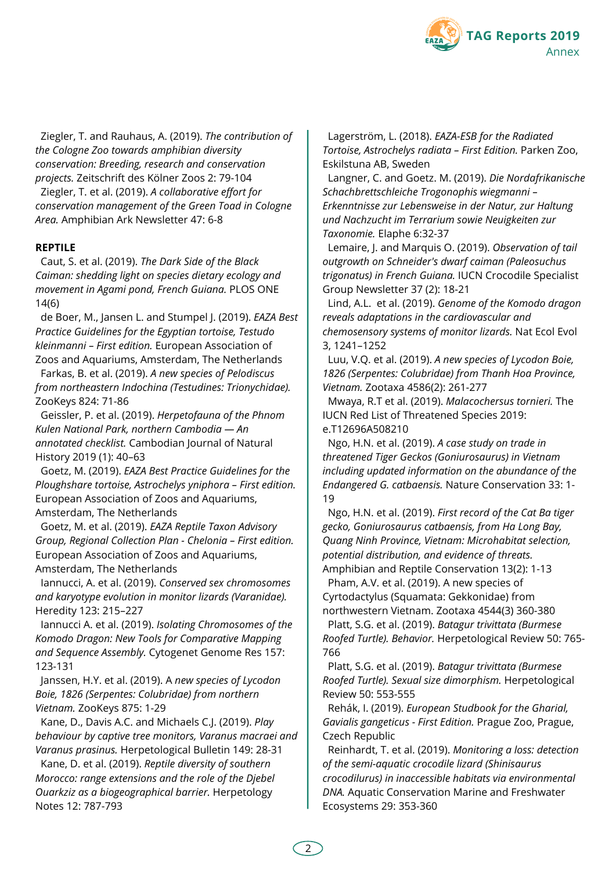

Ziegler, T. and Rauhaus, A. (2019). *The contribution of the Cologne Zoo towards amphibian diversity conservation: Breeding, research and conservation projects.* Zeitschrift des Kölner Zoos 2: 79-104

Ziegler, T. et al. (2019). *A collaborative effort for conservation management of the Green Toad in Cologne Area.* Amphibian Ark Newsletter 47: 6-8

## **REPTILE**

Caut, S. et al. (2019). *The Dark Side of the Black Caiman: shedding light on species dietary ecology and movement in Agami pond, French Guiana.* PLOS ONE 14(6)

de Boer, M., Jansen L. and Stumpel J. (2019). *EAZA Best Practice Guidelines for the Egyptian tortoise, Testudo kleinmanni – First edition.* European Association of Zoos and Aquariums, Amsterdam, The Netherlands

Farkas, B. et al. (2019). *A new species of Pelodiscus from northeastern Indochina (Testudines: Trionychidae).* ZooKeys 824: 71-86

Geissler, P. et al. (2019). *Herpetofauna of the Phnom Kulen National Park, northern Cambodia — An annotated checklist.* Cambodian Journal of Natural History 2019 (1): 40–63

Goetz, M. (2019). *EAZA Best Practice Guidelines for the Ploughshare tortoise, Astrochelys yniphora – First edition.* European Association of Zoos and Aquariums, Amsterdam, The Netherlands

Goetz, M. et al. (2019). *EAZA Reptile Taxon Advisory Group, Regional Collection Plan - Chelonia – First edition.* European Association of Zoos and Aquariums, Amsterdam, The Netherlands

Iannucci, A. et al. (2019). *Conserved sex chromosomes and karyotype evolution in monitor lizards (Varanidae).* Heredity 123: 215–227

Iannucci A. et al. (2019). *Isolating Chromosomes of the Komodo Dragon: New Tools for Comparative Mapping and Sequence Assembly.* Cytogenet Genome Res 157: 123-131

Janssen, H.Y. et al. (2019). A *new species of Lycodon Boie, 1826 (Serpentes: Colubridae) from northern Vietnam.* ZooKeys 875: 1-29

Kane, D., Davis A.C. and Michaels C.J. (2019). *Play behaviour by captive tree monitors, Varanus macraei and Varanus prasinus.* Herpetological Bulletin 149: 28-31

Kane, D. et al. (2019). *Reptile diversity of southern Morocco: range extensions and the role of the Djebel Ouarkziz as a biogeographical barrier.* Herpetology Notes 12: 787-793

Lagerström, L. (2018). *EAZA-ESB for the Radiated Tortoise, Astrochelys radiata – First Edition.* Parken Zoo, Eskilstuna AB, Sweden

Langner, C. and Goetz. M. (2019). *Die Nordafrikanische Schachbrettschleiche Trogonophis wiegmanni – Erkenntnisse zur Lebensweise in der Natur, zur Haltung und Nachzucht im Terrarium sowie Neuigkeiten zur Taxonomie.* Elaphe 6:32-37

Lemaire, J. and Marquis O. (2019). *Observation of tail outgrowth on Schneider's dwarf caiman (Paleosuchus trigonatus) in French Guiana.* IUCN Crocodile Specialist Group Newsletter 37 (2): 18-21

Lind, A.L. et al. (2019). *Genome of the Komodo dragon reveals adaptations in the cardiovascular and chemosensory systems of monitor lizards.* Nat Ecol Evol 3, 1241–1252

Luu, V.Q. et al. (2019). *A new species of Lycodon Boie, 1826 (Serpentes: Colubridae) from Thanh Hoa Province, Vietnam.* Zootaxa 4586(2): 261-277

Mwaya, R.T et al. (2019). *Malacochersus tornieri.* The IUCN Red List of Threatened Species 2019: e.T12696A508210

Ngo, H.N. et al. (2019). *A case study on trade in threatened Tiger Geckos (Goniurosaurus) in Vietnam including updated information on the abundance of the Endangered G. catbaensis.* Nature Conservation 33: 1- 19

Ngo, H.N. et al. (2019). *First record of the Cat Ba tiger gecko, Goniurosaurus catbaensis, from Ha Long Bay, Quang Ninh Province, Vietnam: Microhabitat selection, potential distribution, and evidence of threats.* Amphibian and Reptile Conservation 13(2): 1-13

Pham, A.V. et al. (2019). A new species of Cyrtodactylus (Squamata: Gekkonidae) from northwestern Vietnam. Zootaxa 4544(3) 360-380

Platt, S.G. et al. (2019). *Batagur trivittata (Burmese Roofed Turtle). Behavior.* Herpetological Review 50: 765- 766

Platt, S.G. et al. (2019). *Batagur trivittata (Burmese Roofed Turtle). Sexual size dimorphism.* Herpetological Review 50: 553-555

Rehák, I. (2019). *European Studbook for the Gharial, Gavialis gangeticus - First Edition.* Prague Zoo, Prague, Czech Republic

Reinhardt, T. et al. (2019). *Monitoring a loss: detection of the semi-aquatic crocodile lizard (Shinisaurus crocodilurus) in inaccessible habitats via environmental DNA.* Aquatic Conservation Marine and Freshwater Ecosystems 29: 353-360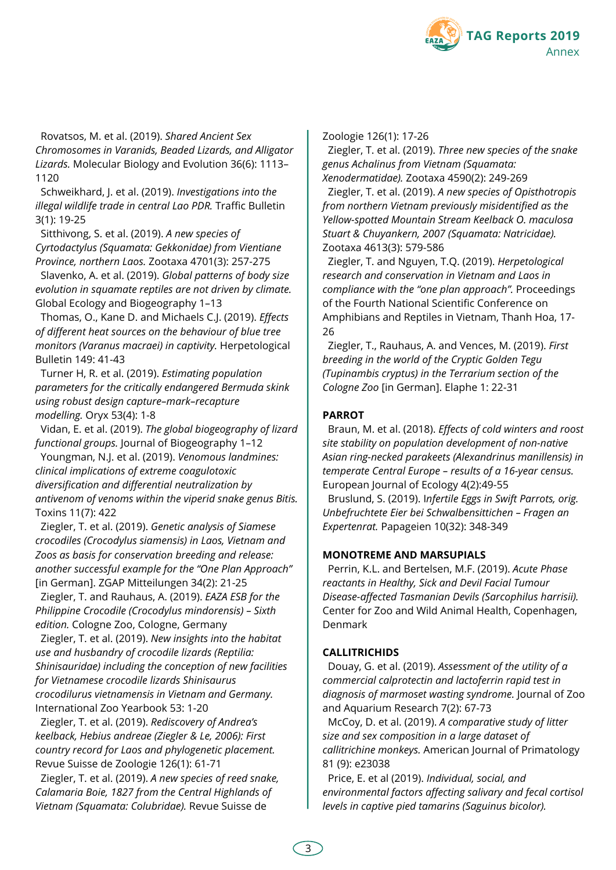

Rovatsos, M. et al. (2019). *Shared Ancient Sex Chromosomes in Varanids, Beaded Lizards, and Alligator Lizards.* Molecular Biology and Evolution 36(6): 1113– 1120

Schweikhard, J. et al. (2019). *Investigations into the illegal wildlife trade in central Lao PDR.* Traffic Bulletin 3(1): 19-25

Sitthivong, S. et al. (2019). *A new species of Cyrtodactylus (Squamata: Gekkonidae) from Vientiane Province, northern Laos.* Zootaxa 4701(3): 257-275

Slavenko, A. et al. (2019). *Global patterns of body size evolution in squamate reptiles are not driven by climate.* Global Ecology and Biogeography 1–13

Thomas, O., Kane D. and Michaels C.J. (2019). *Effects of different heat sources on the behaviour of blue tree monitors (Varanus macraei) in captivity.* Herpetological Bulletin 149: 41-43

Turner H, R. et al. (2019). *Estimating population parameters for the critically endangered Bermuda skink using robust design capture–mark–recapture modelling.* Oryx 53(4): 1-8

Vidan, E. et al. (2019). *The global biogeography of lizard functional groups.* Journal of Biogeography 1–12

Youngman, N.J. et al. (2019). *Venomous landmines: clinical implications of extreme coagulotoxic diversification and differential neutralization by antivenom of venoms within the viperid snake genus Bitis.* Toxins 11(7): 422

Ziegler, T. et al. (2019). *Genetic analysis of Siamese crocodiles (Crocodylus siamensis) in Laos, Vietnam and Zoos as basis for conservation breeding and release: another successful example for the "One Plan Approach"* [in German]. ZGAP Mitteilungen 34(2): 21-25

Ziegler, T. and Rauhaus, A. (2019). *EAZA ESB for the Philippine Crocodile (Crocodylus mindorensis) – Sixth edition.* Cologne Zoo, Cologne, Germany

Ziegler, T. et al. (2019). *New insights into the habitat use and husbandry of crocodile lizards (Reptilia: Shinisauridae) including the conception of new facilities for Vietnamese crocodile lizards Shinisaurus crocodilurus vietnamensis in Vietnam and Germany.* International Zoo Yearbook 53: 1-20

Ziegler, T. et al. (2019). *Rediscovery of Andrea's keelback, Hebius andreae (Ziegler & Le, 2006): First country record for Laos and phylogenetic placement.* Revue Suisse de Zoologie 126(1): 61-71

Ziegler, T. et al. (2019). *A new species of reed snake, Calamaria Boie, 1827 from the Central Highlands of Vietnam (Squamata: Colubridae).* Revue Suisse de

Zoologie 126(1): 17-26

Ziegler, T. et al. (2019). *Three new species of the snake genus Achalinus from Vietnam (Squamata: Xenodermatidae).* Zootaxa 4590(2): 249-269

Ziegler, T. et al. (2019). *A new species of Opisthotropis from northern Vietnam previously misidentified as the Yellow-spotted Mountain Stream Keelback O. maculosa Stuart & Chuyankern, 2007 (Squamata: Natricidae).* Zootaxa 4613(3): 579-586

Ziegler, T. and Nguyen, T.Q. (2019). *Herpetological research and conservation in Vietnam and Laos in compliance with the "one plan approach".* Proceedings of the Fourth National Scientific Conference on Amphibians and Reptiles in Vietnam, Thanh Hoa, 17- 26

Ziegler, T., Rauhaus, A. and Vences, M. (2019). *First breeding in the world of the Cryptic Golden Tegu (Tupinambis cryptus) in the Terrarium section of the Cologne Zoo* [in German]. Elaphe 1: 22-31

## **PARROT**

Braun, M. et al. (2018). *Effects of cold winters and roost site stability on population development of non-native Asian ring-necked parakeets (Alexandrinus manillensis) in temperate Central Europe – results of a 16-year census.* European Journal of Ecology 4(2):49-55

Bruslund, S. (2019). I*nfertile Eggs in Swift Parrots, orig. Unbefruchtete Eier bei Schwalbensittichen – Fragen an Expertenrat.* Papageien 10(32): 348-349

## **MONOTREME AND MARSUPIALS**

Perrin, K.L. and Bertelsen, M.F. (2019). *Acute Phase reactants in Healthy, Sick and Devil Facial Tumour Disease-affected Tasmanian Devils (Sarcophilus harrisii).* Center for Zoo and Wild Animal Health, Copenhagen, Denmark

## **CALLITRICHIDS**

Douay, G. et al. (2019). *Assessment of the utility of a commercial calprotectin and lactoferrin rapid test in diagnosis of marmoset wasting syndrome.* Journal of Zoo and Aquarium Research 7(2): 67-73

McCoy, D. et al. (2019). *A comparative study of litter size and sex composition in a large dataset of callitrichine monkeys.* American Journal of Primatology 81 (9): e23038

Price, E. et al (2019). *Individual, social, and environmental factors affecting salivary and fecal cortisol levels in captive pied tamarins (Saguinus bicolor).*